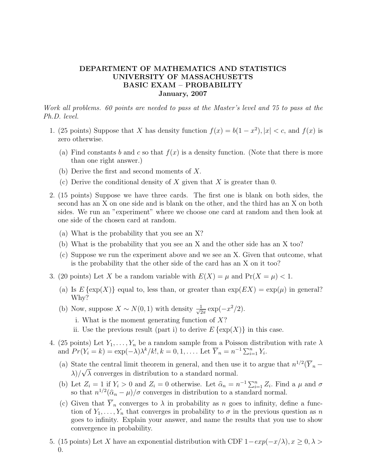## DEPARTMENT OF MATHEMATICS AND STATISTICS UNIVERSITY OF MASSACHUSETTS BASIC EXAM – PROBABILITY January, 2007

Work all problems. 60 points are needed to pass at the Master's level and 75 to pass at the Ph.D. level.

- 1. (25 points) Suppose that X has density function  $f(x) = b(1 x^2)$ ,  $|x| < c$ , and  $f(x)$  is zero otherwise.
	- (a) Find constants b and c so that  $f(x)$  is a density function. (Note that there is more than one right answer.)
	- (b) Derive the first and second moments of X.
	- (c) Derive the conditional density of X given that X is greater than 0.
- 2. (15 points) Suppose we have three cards. The first one is blank on both sides, the second has an X on one side and is blank on the other, and the third has an X on both sides. We run an "experiment" where we choose one card at random and then look at one side of the chosen card at random.
	- (a) What is the probability that you see an X?
	- (b) What is the probability that you see an X and the other side has an X too?
	- (c) Suppose we run the experiment above and we see an X. Given that outcome, what is the probability that the other side of the card has an X on it too?
- 3. (20 points) Let X be a random variable with  $E(X) = \mu$  and  $Pr(X = \mu) < 1$ .
	- (a) Is  $E\{\exp(X)\}\$ equal to, less than, or greater than  $\exp(EX) = \exp(\mu)$  in general? Why?
	- (b) Now, suppose  $X \sim N(0, 1)$  with density  $\frac{1}{\sqrt{2}}$  $\frac{1}{2\pi} \exp(-x^2/2).$ 
		- i. What is the moment generating function of  $X$ ?
		- ii. Use the previous result (part i) to derive  $E\{\exp(X)\}\$ in this case.
- 4. (25 points) Let  $Y_1, \ldots, Y_n$  be a random sample from a Poisson distribution with rate  $\lambda$ and  $Pr(Y_i = k) = \exp(-\lambda)\lambda^k/k!, k = 0, 1, \dots$  Let  $\overline{Y}_n = n^{-1} \sum_{i=1}^n Y_i$ .
	- (a) State the central limit theorem in general, and then use it to argue that  $n^{1/2}(\overline{Y}_n \lambda$ / $\sqrt{\lambda}$  converges in distribution to a standard normal.
	- (b) Let  $Z_i = 1$  if  $Y_i > 0$  and  $Z_i = 0$  otherwise. Let  $\hat{\alpha}_n = n^{-1} \sum_{i=1}^n Z_i$ . Find a  $\mu$  and  $\sigma$ so that  $n^{1/2}(\hat{\alpha}_n - \mu)/\sigma$  converges in distribution to a standard normal.
	- (c) Given that  $\overline{Y}_n$  converges to  $\lambda$  in probability as n goes to infinity, define a function of  $Y_1, \ldots, Y_n$  that converges in probability to  $\sigma$  in the previous question as n goes to infinity. Explain your answer, and name the results that you use to show convergence in probability.
- 5. (15 points) Let X have an exponential distribution with CDF  $1-exp(-x/\lambda), x \ge 0, \lambda >$ 0.